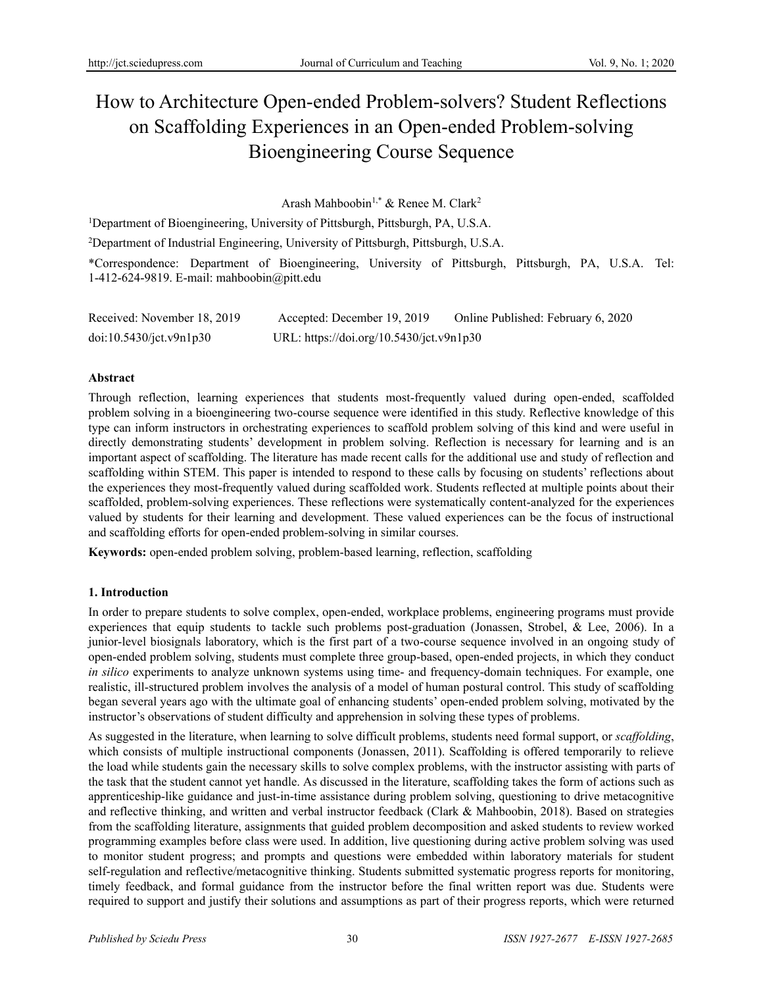# How to Architecture Open-ended Problem-solvers? Student Reflections on Scaffolding Experiences in an Open-ended Problem-solving Bioengineering Course Sequence

Arash Mahboobin<sup>1,\*</sup> & Renee M. Clark<sup>2</sup>

<sup>1</sup>Department of Bioengineering, University of Pittsburgh, Pittsburgh, PA, U.S.A.

<sup>2</sup>Department of Industrial Engineering, University of Pittsburgh, Pittsburgh, U.S.A.

\*Correspondence: Department of Bioengineering, University of Pittsburgh, Pittsburgh, PA, U.S.A. Tel: 1-412-624-9819. E-mail: mahboobin@pitt.edu

| Received: November 18, 2019 | Accepted: December 19, 2019              | Online Published: February 6, 2020 |
|-----------------------------|------------------------------------------|------------------------------------|
| doi:10.5430/ict.v9n1p30     | URL: https://doi.org/10.5430/jct.v9n1p30 |                                    |

# **Abstract**

Through reflection, learning experiences that students most-frequently valued during open-ended, scaffolded problem solving in a bioengineering two-course sequence were identified in this study. Reflective knowledge of this type can inform instructors in orchestrating experiences to scaffold problem solving of this kind and were useful in directly demonstrating students' development in problem solving. Reflection is necessary for learning and is an important aspect of scaffolding. The literature has made recent calls for the additional use and study of reflection and scaffolding within STEM. This paper is intended to respond to these calls by focusing on students' reflections about the experiences they most-frequently valued during scaffolded work. Students reflected at multiple points about their scaffolded, problem-solving experiences. These reflections were systematically content-analyzed for the experiences valued by students for their learning and development. These valued experiences can be the focus of instructional and scaffolding efforts for open-ended problem-solving in similar courses.

**Keywords:** open-ended problem solving, problem-based learning, reflection, scaffolding

# **1. Introduction**

In order to prepare students to solve complex, open-ended, workplace problems, engineering programs must provide experiences that equip students to tackle such problems post-graduation (Jonassen, Strobel, & Lee, 2006). In a junior-level biosignals laboratory, which is the first part of a two-course sequence involved in an ongoing study of open-ended problem solving, students must complete three group-based, open-ended projects, in which they conduct *in silico* experiments to analyze unknown systems using time- and frequency-domain techniques. For example, one realistic, ill-structured problem involves the analysis of a model of human postural control. This study of scaffolding began several years ago with the ultimate goal of enhancing students' open-ended problem solving, motivated by the instructor's observations of student difficulty and apprehension in solving these types of problems.

As suggested in the literature, when learning to solve difficult problems, students need formal support, or *scaffolding*, which consists of multiple instructional components (Jonassen, 2011). Scaffolding is offered temporarily to relieve the load while students gain the necessary skills to solve complex problems, with the instructor assisting with parts of the task that the student cannot yet handle. As discussed in the literature, scaffolding takes the form of actions such as apprenticeship-like guidance and just-in-time assistance during problem solving, questioning to drive metacognitive and reflective thinking, and written and verbal instructor feedback (Clark & Mahboobin, 2018). Based on strategies from the scaffolding literature, assignments that guided problem decomposition and asked students to review worked programming examples before class were used. In addition, live questioning during active problem solving was used to monitor student progress; and prompts and questions were embedded within laboratory materials for student self-regulation and reflective/metacognitive thinking. Students submitted systematic progress reports for monitoring, timely feedback, and formal guidance from the instructor before the final written report was due. Students were required to support and justify their solutions and assumptions as part of their progress reports, which were returned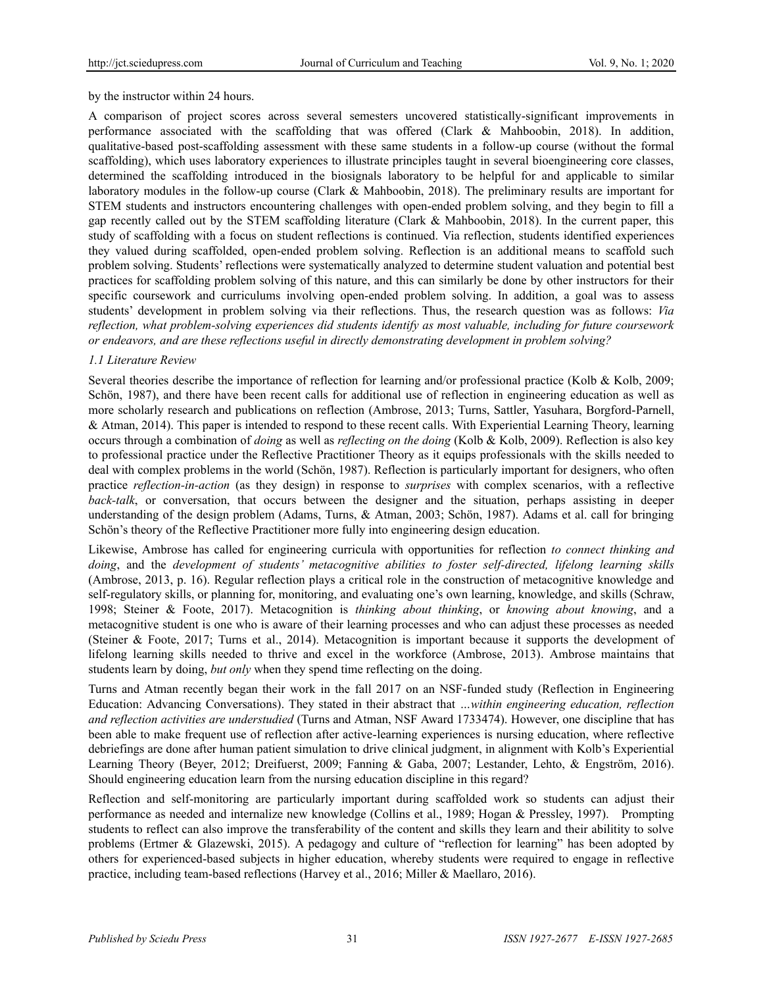#### by the instructor within 24 hours.

A comparison of project scores across several semesters uncovered statistically-significant improvements in performance associated with the scaffolding that was offered (Clark & Mahboobin, 2018). In addition, qualitative-based post-scaffolding assessment with these same students in a follow-up course (without the formal scaffolding), which uses laboratory experiences to illustrate principles taught in several bioengineering core classes, determined the scaffolding introduced in the biosignals laboratory to be helpful for and applicable to similar laboratory modules in the follow-up course (Clark & Mahboobin, 2018). The preliminary results are important for STEM students and instructors encountering challenges with open-ended problem solving, and they begin to fill a gap recently called out by the STEM scaffolding literature (Clark & Mahboobin, 2018). In the current paper, this study of scaffolding with a focus on student reflections is continued. Via reflection, students identified experiences they valued during scaffolded, open-ended problem solving. Reflection is an additional means to scaffold such problem solving. Students' reflections were systematically analyzed to determine student valuation and potential best practices for scaffolding problem solving of this nature, and this can similarly be done by other instructors for their specific coursework and curriculums involving open-ended problem solving. In addition, a goal was to assess students' development in problem solving via their reflections. Thus, the research question was as follows: *Via reflection, what problem-solving experiences did students identify as most valuable, including for future coursework or endeavors, and are these reflections useful in directly demonstrating development in problem solving?*

#### *1.1 Literature Review*

Several theories describe the importance of reflection for learning and/or professional practice (Kolb & Kolb, 2009; Schön, 1987), and there have been recent calls for additional use of reflection in engineering education as well as more scholarly research and publications on reflection (Ambrose, 2013; Turns, Sattler, Yasuhara, Borgford-Parnell, & Atman, 2014). This paper is intended to respond to these recent calls. With Experiential Learning Theory, learning occurs through a combination of *doing* as well as *reflecting on the doing* (Kolb & Kolb, 2009). Reflection is also key to professional practice under the Reflective Practitioner Theory as it equips professionals with the skills needed to deal with complex problems in the world (Schön, 1987). Reflection is particularly important for designers, who often practice *reflection-in-action* (as they design) in response to *surprises* with complex scenarios, with a reflective *back-talk*, or conversation, that occurs between the designer and the situation, perhaps assisting in deeper understanding of the design problem (Adams, Turns, & Atman, 2003; Schön, 1987). Adams et al. call for bringing Schön's theory of the Reflective Practitioner more fully into engineering design education.

Likewise, Ambrose has called for engineering curricula with opportunities for reflection *to connect thinking and doing*, and the *development of students' metacognitive abilities to foster self-directed, lifelong learning skills* (Ambrose, 2013, p. 16). Regular reflection plays a critical role in the construction of metacognitive knowledge and self-regulatory skills, or planning for, monitoring, and evaluating one's own learning, knowledge, and skills (Schraw, 1998; Steiner & Foote, 2017). Metacognition is *thinking about thinking*, or *knowing about knowing*, and a metacognitive student is one who is aware of their learning processes and who can adjust these processes as needed (Steiner & Foote, 2017; Turns et al., 2014). Metacognition is important because it supports the development of lifelong learning skills needed to thrive and excel in the workforce (Ambrose, 2013). Ambrose maintains that students learn by doing, *but only* when they spend time reflecting on the doing.

Turns and Atman recently began their work in the fall 2017 on an NSF-funded study (Reflection in Engineering Education: Advancing Conversations). They stated in their abstract that *…within engineering education, reflection and reflection activities are understudied* (Turns and Atman, NSF Award 1733474). However, one discipline that has been able to make frequent use of reflection after active-learning experiences is nursing education, where reflective debriefings are done after human patient simulation to drive clinical judgment, in alignment with Kolb's Experiential Learning Theory (Beyer, 2012; Dreifuerst, 2009; Fanning & Gaba, 2007; Lestander, Lehto, & Engström, 2016). Should engineering education learn from the nursing education discipline in this regard?

Reflection and self-monitoring are particularly important during scaffolded work so students can adjust their performance as needed and internalize new knowledge (Collins et al., 1989; Hogan & Pressley, 1997). Prompting students to reflect can also improve the transferability of the content and skills they learn and their abilitity to solve problems (Ertmer & Glazewski, 2015). A pedagogy and culture of "reflection for learning" has been adopted by others for experienced-based subjects in higher education, whereby students were required to engage in reflective practice, including team-based reflections (Harvey et al., 2016; Miller & Maellaro, 2016).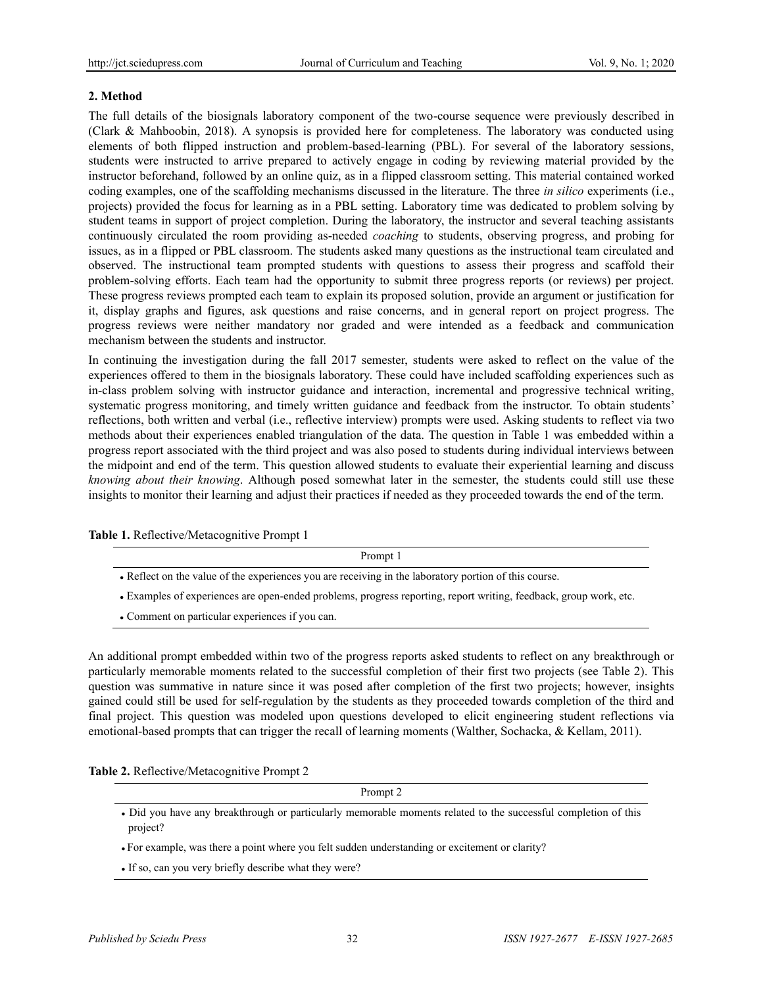# **2. Method**

The full details of the biosignals laboratory component of the two-course sequence were previously described in (Clark & Mahboobin, 2018). A synopsis is provided here for completeness. The laboratory was conducted using elements of both flipped instruction and problem-based-learning (PBL). For several of the laboratory sessions, students were instructed to arrive prepared to actively engage in coding by reviewing material provided by the instructor beforehand, followed by an online quiz, as in a flipped classroom setting. This material contained worked coding examples, one of the scaffolding mechanisms discussed in the literature. The three *in silico* experiments (i.e., projects) provided the focus for learning as in a PBL setting. Laboratory time was dedicated to problem solving by student teams in support of project completion. During the laboratory, the instructor and several teaching assistants continuously circulated the room providing as-needed *coaching* to students, observing progress, and probing for issues, as in a flipped or PBL classroom. The students asked many questions as the instructional team circulated and observed. The instructional team prompted students with questions to assess their progress and scaffold their problem-solving efforts. Each team had the opportunity to submit three progress reports (or reviews) per project. These progress reviews prompted each team to explain its proposed solution, provide an argument or justification for it, display graphs and figures, ask questions and raise concerns, and in general report on project progress. The progress reviews were neither mandatory nor graded and were intended as a feedback and communication mechanism between the students and instructor.

In continuing the investigation during the fall 2017 semester, students were asked to reflect on the value of the experiences offered to them in the biosignals laboratory. These could have included scaffolding experiences such as in-class problem solving with instructor guidance and interaction, incremental and progressive technical writing, systematic progress monitoring, and timely written guidance and feedback from the instructor. To obtain students' reflections, both written and verbal (i.e., reflective interview) prompts were used. Asking students to reflect via two methods about their experiences enabled triangulation of the data. The question in Table 1 was embedded within a progress report associated with the third project and was also posed to students during individual interviews between the midpoint and end of the term. This question allowed students to evaluate their experiential learning and discuss *knowing about their knowing*. Although posed somewhat later in the semester, the students could still use these insights to monitor their learning and adjust their practices if needed as they proceeded towards the end of the term.

**Table 1.** Reflective/Metacognitive Prompt 1

Prompt 1

- Reflect on the value of the experiences you are receiving in the laboratory portion of this course.
- Examples of experiences are open-ended problems, progress reporting, report writing, feedback, group work, etc.
- Comment on particular experiences if you can.

An additional prompt embedded within two of the progress reports asked students to reflect on any breakthrough or particularly memorable moments related to the successful completion of their first two projects (see Table 2). This question was summative in nature since it was posed after completion of the first two projects; however, insights gained could still be used for self-regulation by the students as they proceeded towards completion of the third and final project. This question was modeled upon questions developed to elicit engineering student reflections via emotional-based prompts that can trigger the recall of learning moments (Walther, Sochacka, & Kellam, 2011).

**Table 2.** Reflective/Metacognitive Prompt 2

Prompt 2

• Did you have any breakthrough or particularly memorable moments related to the successful completion of this project?

• For example, was there a point where you felt sudden understanding or excitement or clarity?

• If so, can you very briefly describe what they were?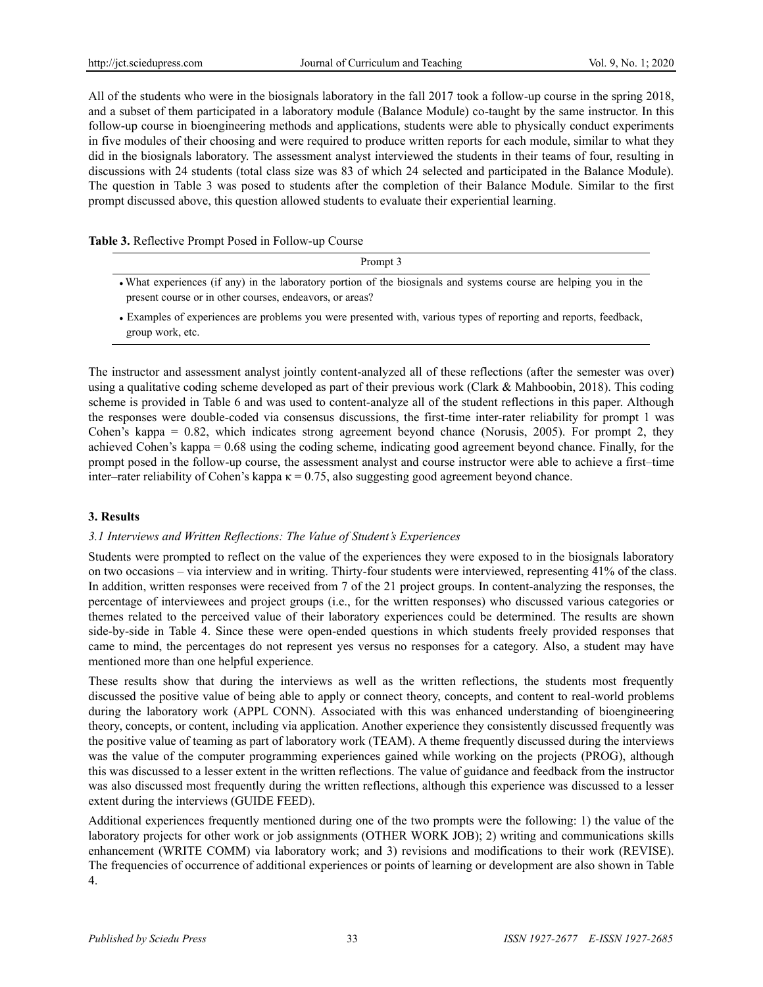All of the students who were in the biosignals laboratory in the fall 2017 took a follow-up course in the spring 2018, and a subset of them participated in a laboratory module (Balance Module) co-taught by the same instructor. In this follow-up course in bioengineering methods and applications, students were able to physically conduct experiments in five modules of their choosing and were required to produce written reports for each module, similar to what they did in the biosignals laboratory. The assessment analyst interviewed the students in their teams of four, resulting in discussions with 24 students (total class size was 83 of which 24 selected and participated in the Balance Module). The question in Table 3 was posed to students after the completion of their Balance Module. Similar to the first prompt discussed above, this question allowed students to evaluate their experiential learning.

# **Table 3.** Reflective Prompt Posed in Follow-up Course

| Prompt 3                                                                                                                                                                      |
|-------------------------------------------------------------------------------------------------------------------------------------------------------------------------------|
| • What experiences (if any) in the laboratory portion of the biosignals and systems course are helping you in the<br>present course or in other courses, endeavors, or areas? |

<sup>•</sup> Examples of experiences are problems you were presented with, various types of reporting and reports, feedback, group work, etc.

The instructor and assessment analyst jointly content-analyzed all of these reflections (after the semester was over) using a qualitative coding scheme developed as part of their previous work (Clark & Mahboobin, 2018). This coding scheme is provided in Table 6 and was used to content-analyze all of the student reflections in this paper. Although the responses were double-coded via consensus discussions, the first-time inter-rater reliability for prompt 1 was Cohen's kappa  $= 0.82$ , which indicates strong agreement beyond chance (Norusis, 2005). For prompt 2, they achieved Cohen's kappa = 0.68 using the coding scheme, indicating good agreement beyond chance. Finally, for the prompt posed in the follow-up course, the assessment analyst and course instructor were able to achieve a first–time inter–rater reliability of Cohen's kappa  $\kappa = 0.75$ , also suggesting good agreement beyond chance.

# **3. Results**

# *3.1 Interviews and Written Reflections: The Value of Student's Experiences*

Students were prompted to reflect on the value of the experiences they were exposed to in the biosignals laboratory on two occasions – via interview and in writing. Thirty-four students were interviewed, representing 41% of the class. In addition, written responses were received from 7 of the 21 project groups. In content-analyzing the responses, the percentage of interviewees and project groups (i.e., for the written responses) who discussed various categories or themes related to the perceived value of their laboratory experiences could be determined. The results are shown side-by-side in Table 4. Since these were open-ended questions in which students freely provided responses that came to mind, the percentages do not represent yes versus no responses for a category. Also, a student may have mentioned more than one helpful experience.

These results show that during the interviews as well as the written reflections, the students most frequently discussed the positive value of being able to apply or connect theory, concepts, and content to real-world problems during the laboratory work (APPL CONN). Associated with this was enhanced understanding of bioengineering theory, concepts, or content, including via application. Another experience they consistently discussed frequently was the positive value of teaming as part of laboratory work (TEAM). A theme frequently discussed during the interviews was the value of the computer programming experiences gained while working on the projects (PROG), although this was discussed to a lesser extent in the written reflections. The value of guidance and feedback from the instructor was also discussed most frequently during the written reflections, although this experience was discussed to a lesser extent during the interviews (GUIDE FEED).

Additional experiences frequently mentioned during one of the two prompts were the following: 1) the value of the laboratory projects for other work or job assignments (OTHER WORK JOB); 2) writing and communications skills enhancement (WRITE COMM) via laboratory work; and 3) revisions and modifications to their work (REVISE). The frequencies of occurrence of additional experiences or points of learning or development are also shown in Table 4.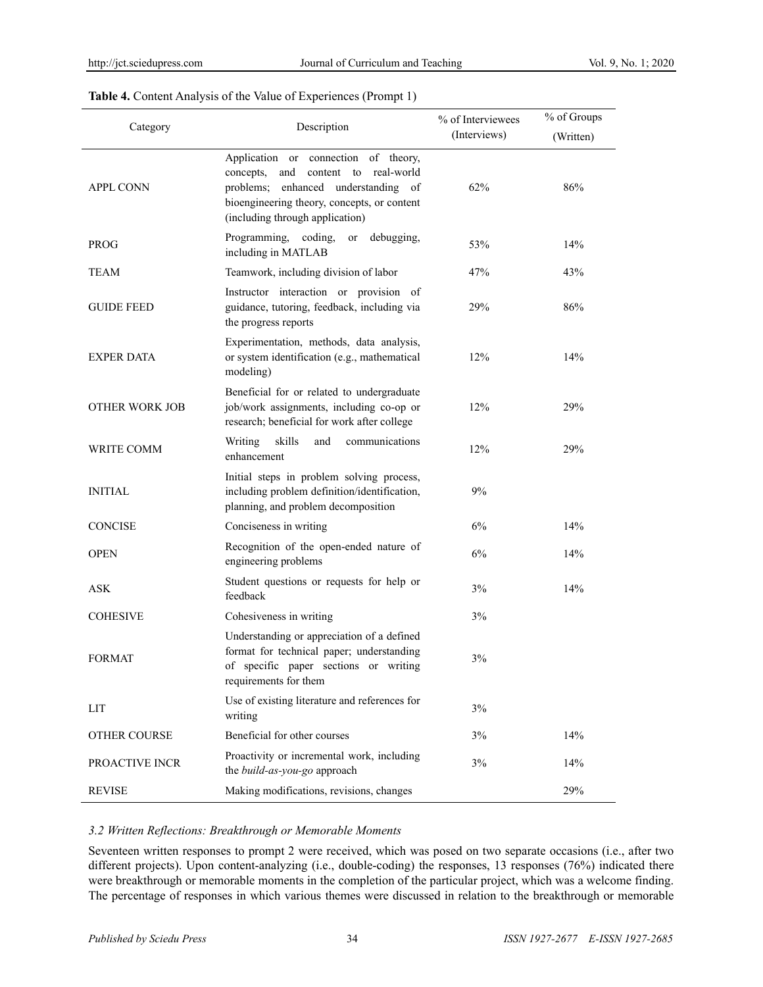| Category              | Description                                                                                                                                                                                                   | % of Interviewees | % of Groups |
|-----------------------|---------------------------------------------------------------------------------------------------------------------------------------------------------------------------------------------------------------|-------------------|-------------|
|                       |                                                                                                                                                                                                               | (Interviews)      | (Written)   |
| <b>APPL CONN</b>      | Application or connection of theory,<br>and<br>content to<br>real-world<br>concepts,<br>problems; enhanced understanding of<br>bioengineering theory, concepts, or content<br>(including through application) | 62%               | 86%         |
| <b>PROG</b>           | Programming, coding,<br>debugging,<br>or<br>including in MATLAB                                                                                                                                               | 53%               | 14%         |
| TEAM                  | Teamwork, including division of labor                                                                                                                                                                         | 47%               | 43%         |
| <b>GUIDE FEED</b>     | Instructor interaction or provision of<br>guidance, tutoring, feedback, including via<br>the progress reports                                                                                                 | 29%               | 86%         |
| <b>EXPER DATA</b>     | Experimentation, methods, data analysis,<br>or system identification (e.g., mathematical<br>modeling)                                                                                                         | 12%               | 14%         |
| <b>OTHER WORK JOB</b> | Beneficial for or related to undergraduate<br>job/work assignments, including co-op or<br>research; beneficial for work after college                                                                         | 12%               | 29%         |
| WRITE COMM            | skills<br>Writing<br>and<br>communications<br>enhancement                                                                                                                                                     | 12%               | 29%         |
| INITIAL               | Initial steps in problem solving process,<br>including problem definition/identification,<br>planning, and problem decomposition                                                                              | 9%                |             |
| <b>CONCISE</b>        | Conciseness in writing                                                                                                                                                                                        | 6%                | 14%         |
| <b>OPEN</b>           | Recognition of the open-ended nature of<br>engineering problems                                                                                                                                               | 6%                | 14%         |
| <b>ASK</b>            | Student questions or requests for help or<br>feedback                                                                                                                                                         | 3%                | 14%         |
| <b>COHESIVE</b>       | Cohesiveness in writing                                                                                                                                                                                       | 3%                |             |
| FORMAT                | Understanding or appreciation of a defined<br>format for technical paper; understanding<br>of specific paper sections or writing<br>requirements for them                                                     | 3%                |             |
| LIT                   | Use of existing literature and references for<br>writing                                                                                                                                                      | 3%                |             |
| OTHER COURSE          | Beneficial for other courses                                                                                                                                                                                  | 3%                | 14%         |
| PROACTIVE INCR        | Proactivity or incremental work, including<br>the build-as-you-go approach                                                                                                                                    | $3\%$             | 14%         |
| <b>REVISE</b>         | Making modifications, revisions, changes                                                                                                                                                                      |                   | 29%         |

#### **Table 4.** Content Analysis of the Value of Experiences (Prompt 1)

#### *3.2 Written Reflections: Breakthrough or Memorable Moments*

Seventeen written responses to prompt 2 were received, which was posed on two separate occasions (i.e., after two different projects). Upon content-analyzing (i.e., double-coding) the responses, 13 responses (76%) indicated there were breakthrough or memorable moments in the completion of the particular project, which was a welcome finding. The percentage of responses in which various themes were discussed in relation to the breakthrough or memorable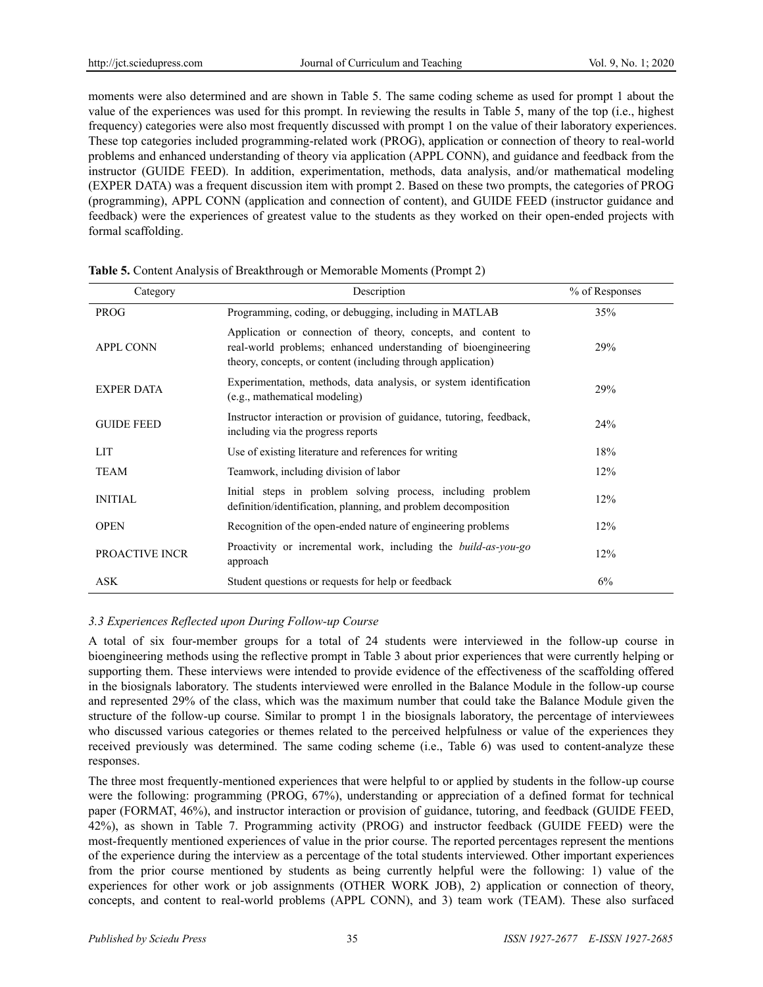moments were also determined and are shown in Table 5. The same coding scheme as used for prompt 1 about the value of the experiences was used for this prompt. In reviewing the results in Table 5, many of the top (i.e., highest frequency) categories were also most frequently discussed with prompt 1 on the value of their laboratory experiences. These top categories included programming-related work (PROG), application or connection of theory to real-world problems and enhanced understanding of theory via application (APPL CONN), and guidance and feedback from the instructor (GUIDE FEED). In addition, experimentation, methods, data analysis, and/or mathematical modeling (EXPER DATA) was a frequent discussion item with prompt 2. Based on these two prompts, the categories of PROG (programming), APPL CONN (application and connection of content), and GUIDE FEED (instructor guidance and feedback) were the experiences of greatest value to the students as they worked on their open-ended projects with formal scaffolding.

| Category          | Description                                                                                                                                                                                    | % of Responses |
|-------------------|------------------------------------------------------------------------------------------------------------------------------------------------------------------------------------------------|----------------|
| <b>PROG</b>       | Programming, coding, or debugging, including in MATLAB                                                                                                                                         | 35%            |
| <b>APPL CONN</b>  | Application or connection of theory, concepts, and content to<br>real-world problems; enhanced understanding of bioengineering<br>theory, concepts, or content (including through application) | 29%            |
| <b>EXPER DATA</b> | Experimentation, methods, data analysis, or system identification<br>(e.g., mathematical modeling)                                                                                             | 29%            |
| <b>GUIDE FEED</b> | Instructor interaction or provision of guidance, tutoring, feedback,<br>including via the progress reports                                                                                     | 24%            |
| <b>LIT</b>        | Use of existing literature and references for writing                                                                                                                                          | 18%            |
| <b>TEAM</b>       | Teamwork, including division of labor                                                                                                                                                          | 12%            |
| <b>INITIAL</b>    | Initial steps in problem solving process, including problem<br>definition/identification, planning, and problem decomposition                                                                  | 12%            |
| <b>OPEN</b>       | Recognition of the open-ended nature of engineering problems                                                                                                                                   | 12%            |
| PROACTIVE INCR    | Proactivity or incremental work, including the <i>build-as-you-go</i><br>approach                                                                                                              | 12%            |
| ASK               | Student questions or requests for help or feedback                                                                                                                                             | 6%             |

|  | Table 5. Content Analysis of Breakthrough or Memorable Moments (Prompt 2) |  |
|--|---------------------------------------------------------------------------|--|
|  |                                                                           |  |

# *3.3 Experiences Reflected upon During Follow-up Course*

A total of six four-member groups for a total of 24 students were interviewed in the follow-up course in bioengineering methods using the reflective prompt in Table 3 about prior experiences that were currently helping or supporting them. These interviews were intended to provide evidence of the effectiveness of the scaffolding offered in the biosignals laboratory. The students interviewed were enrolled in the Balance Module in the follow-up course and represented 29% of the class, which was the maximum number that could take the Balance Module given the structure of the follow-up course. Similar to prompt 1 in the biosignals laboratory, the percentage of interviewees who discussed various categories or themes related to the perceived helpfulness or value of the experiences they received previously was determined. The same coding scheme (i.e., Table 6) was used to content-analyze these responses.

The three most frequently-mentioned experiences that were helpful to or applied by students in the follow-up course were the following: programming (PROG, 67%), understanding or appreciation of a defined format for technical paper (FORMAT, 46%), and instructor interaction or provision of guidance, tutoring, and feedback (GUIDE FEED, 42%), as shown in Table 7. Programming activity (PROG) and instructor feedback (GUIDE FEED) were the most-frequently mentioned experiences of value in the prior course. The reported percentages represent the mentions of the experience during the interview as a percentage of the total students interviewed. Other important experiences from the prior course mentioned by students as being currently helpful were the following: 1) value of the experiences for other work or job assignments (OTHER WORK JOB), 2) application or connection of theory, concepts, and content to real-world problems (APPL CONN), and 3) team work (TEAM). These also surfaced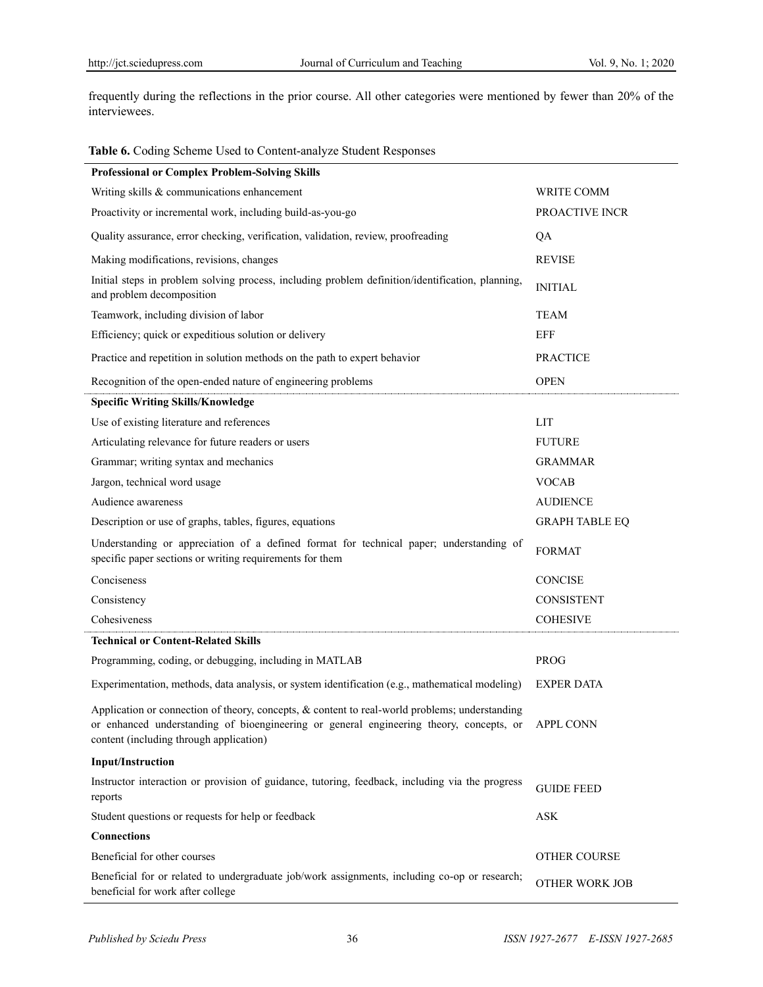frequently during the reflections in the prior course. All other categories were mentioned by fewer than 20% of the interviewees.

#### **Table 6.** Coding Scheme Used to Content-analyze Student Responses

| <b>Professional or Complex Problem-Solving Skills</b>                                                                                                                                                                                          |                       |
|------------------------------------------------------------------------------------------------------------------------------------------------------------------------------------------------------------------------------------------------|-----------------------|
| Writing skills & communications enhancement                                                                                                                                                                                                    | WRITE COMM            |
| Proactivity or incremental work, including build-as-you-go                                                                                                                                                                                     | PROACTIVE INCR        |
| Quality assurance, error checking, verification, validation, review, proofreading                                                                                                                                                              | QA                    |
| Making modifications, revisions, changes                                                                                                                                                                                                       | <b>REVISE</b>         |
| Initial steps in problem solving process, including problem definition/identification, planning,<br>and problem decomposition                                                                                                                  | <b>INITIAL</b>        |
| Teamwork, including division of labor                                                                                                                                                                                                          | <b>TEAM</b>           |
| Efficiency; quick or expeditious solution or delivery                                                                                                                                                                                          | <b>EFF</b>            |
| Practice and repetition in solution methods on the path to expert behavior                                                                                                                                                                     | <b>PRACTICE</b>       |
| Recognition of the open-ended nature of engineering problems                                                                                                                                                                                   | <b>OPEN</b>           |
| <b>Specific Writing Skills/Knowledge</b>                                                                                                                                                                                                       |                       |
| Use of existing literature and references                                                                                                                                                                                                      | LIT                   |
| Articulating relevance for future readers or users                                                                                                                                                                                             | <b>FUTURE</b>         |
| Grammar; writing syntax and mechanics                                                                                                                                                                                                          | <b>GRAMMAR</b>        |
| Jargon, technical word usage                                                                                                                                                                                                                   | <b>VOCAB</b>          |
| Audience awareness                                                                                                                                                                                                                             | <b>AUDIENCE</b>       |
| Description or use of graphs, tables, figures, equations                                                                                                                                                                                       | <b>GRAPH TABLE EQ</b> |
| Understanding or appreciation of a defined format for technical paper; understanding of<br>specific paper sections or writing requirements for them                                                                                            | <b>FORMAT</b>         |
| Conciseness                                                                                                                                                                                                                                    | <b>CONCISE</b>        |
| Consistency                                                                                                                                                                                                                                    | <b>CONSISTENT</b>     |
| Cohesiveness                                                                                                                                                                                                                                   | <b>COHESIVE</b>       |
| <b>Technical or Content-Related Skills</b>                                                                                                                                                                                                     |                       |
| Programming, coding, or debugging, including in MATLAB                                                                                                                                                                                         | <b>PROG</b>           |
| Experimentation, methods, data analysis, or system identification (e.g., mathematical modeling)                                                                                                                                                | <b>EXPER DATA</b>     |
| Application or connection of theory, concepts, & content to real-world problems; understanding<br>or enhanced understanding of bioengineering or general engineering theory, concepts, or APPL CONN<br>content (including through application) |                       |
| <b>Input/Instruction</b>                                                                                                                                                                                                                       |                       |
| Instructor interaction or provision of guidance, tutoring, feedback, including via the progress<br>reports                                                                                                                                     | <b>GUIDE FEED</b>     |
| Student questions or requests for help or feedback                                                                                                                                                                                             | <b>ASK</b>            |
| <b>Connections</b>                                                                                                                                                                                                                             |                       |
| Beneficial for other courses                                                                                                                                                                                                                   | <b>OTHER COURSE</b>   |
| Beneficial for or related to undergraduate job/work assignments, including co-op or research;<br>beneficial for work after college                                                                                                             | OTHER WORK JOB        |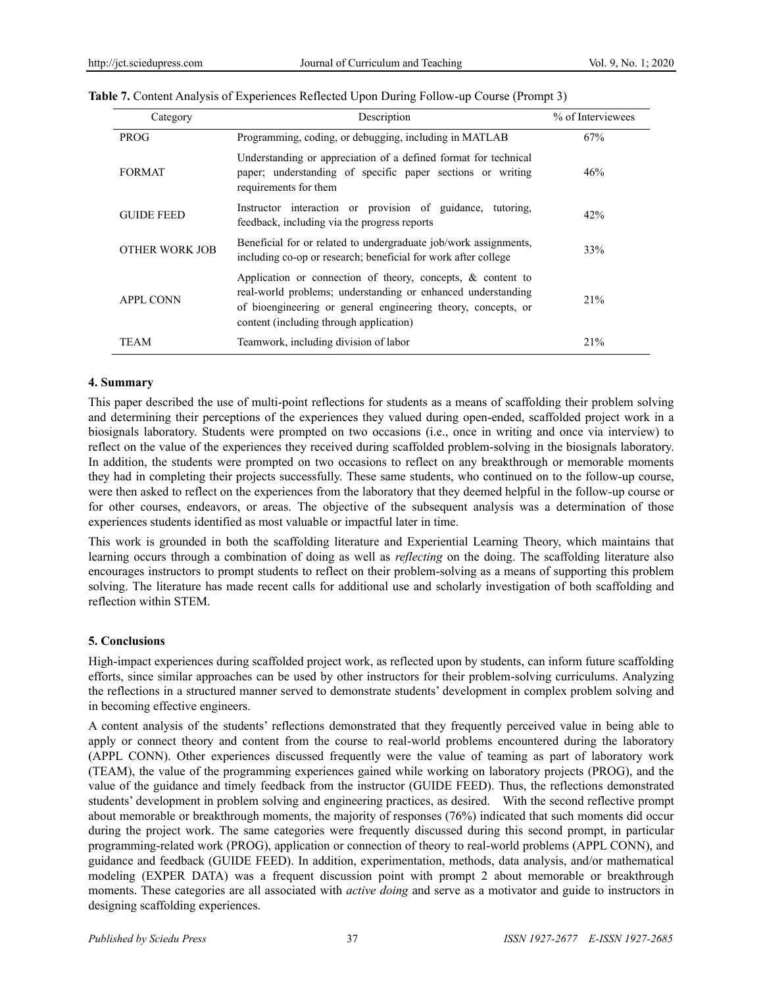| Category          | Description                                                                                                                                                                                                                                | % of Interviewees |
|-------------------|--------------------------------------------------------------------------------------------------------------------------------------------------------------------------------------------------------------------------------------------|-------------------|
| <b>PROG</b>       | Programming, coding, or debugging, including in MATLAB                                                                                                                                                                                     | 67%               |
| <b>FORMAT</b>     | Understanding or appreciation of a defined format for technical<br>paper; understanding of specific paper sections or writing<br>requirements for them                                                                                     | 46%               |
| <b>GUIDE FEED</b> | Instructor interaction or provision of guidance, tutoring,<br>feedback, including via the progress reports                                                                                                                                 | 42%               |
| OTHER WORK JOB    | Beneficial for or related to undergraduate job/work assignments,<br>including co-op or research; beneficial for work after college                                                                                                         | 33%               |
| <b>APPL CONN</b>  | Application or connection of theory, concepts, $\&$ content to<br>real-world problems; understanding or enhanced understanding<br>of bioengineering or general engineering theory, concepts, or<br>content (including through application) | 21%               |
| TEAM              | Teamwork, including division of labor                                                                                                                                                                                                      | 21%               |

#### **Table 7.** Content Analysis of Experiences Reflected Upon During Follow-up Course (Prompt 3)

#### **4. Summary**

This paper described the use of multi-point reflections for students as a means of scaffolding their problem solving and determining their perceptions of the experiences they valued during open-ended, scaffolded project work in a biosignals laboratory. Students were prompted on two occasions (i.e., once in writing and once via interview) to reflect on the value of the experiences they received during scaffolded problem-solving in the biosignals laboratory. In addition, the students were prompted on two occasions to reflect on any breakthrough or memorable moments they had in completing their projects successfully. These same students, who continued on to the follow-up course, were then asked to reflect on the experiences from the laboratory that they deemed helpful in the follow-up course or for other courses, endeavors, or areas. The objective of the subsequent analysis was a determination of those experiences students identified as most valuable or impactful later in time.

This work is grounded in both the scaffolding literature and Experiential Learning Theory, which maintains that learning occurs through a combination of doing as well as *reflecting* on the doing. The scaffolding literature also encourages instructors to prompt students to reflect on their problem-solving as a means of supporting this problem solving. The literature has made recent calls for additional use and scholarly investigation of both scaffolding and reflection within STEM.

#### **5. Conclusions**

High-impact experiences during scaffolded project work, as reflected upon by students, can inform future scaffolding efforts, since similar approaches can be used by other instructors for their problem-solving curriculums. Analyzing the reflections in a structured manner served to demonstrate students' development in complex problem solving and in becoming effective engineers.

A content analysis of the students' reflections demonstrated that they frequently perceived value in being able to apply or connect theory and content from the course to real-world problems encountered during the laboratory (APPL CONN). Other experiences discussed frequently were the value of teaming as part of laboratory work (TEAM), the value of the programming experiences gained while working on laboratory projects (PROG), and the value of the guidance and timely feedback from the instructor (GUIDE FEED). Thus, the reflections demonstrated students' development in problem solving and engineering practices, as desired. With the second reflective prompt about memorable or breakthrough moments, the majority of responses (76%) indicated that such moments did occur during the project work. The same categories were frequently discussed during this second prompt, in particular programming-related work (PROG), application or connection of theory to real-world problems (APPL CONN), and guidance and feedback (GUIDE FEED). In addition, experimentation, methods, data analysis, and/or mathematical modeling (EXPER DATA) was a frequent discussion point with prompt 2 about memorable or breakthrough moments. These categories are all associated with *active doing* and serve as a motivator and guide to instructors in designing scaffolding experiences.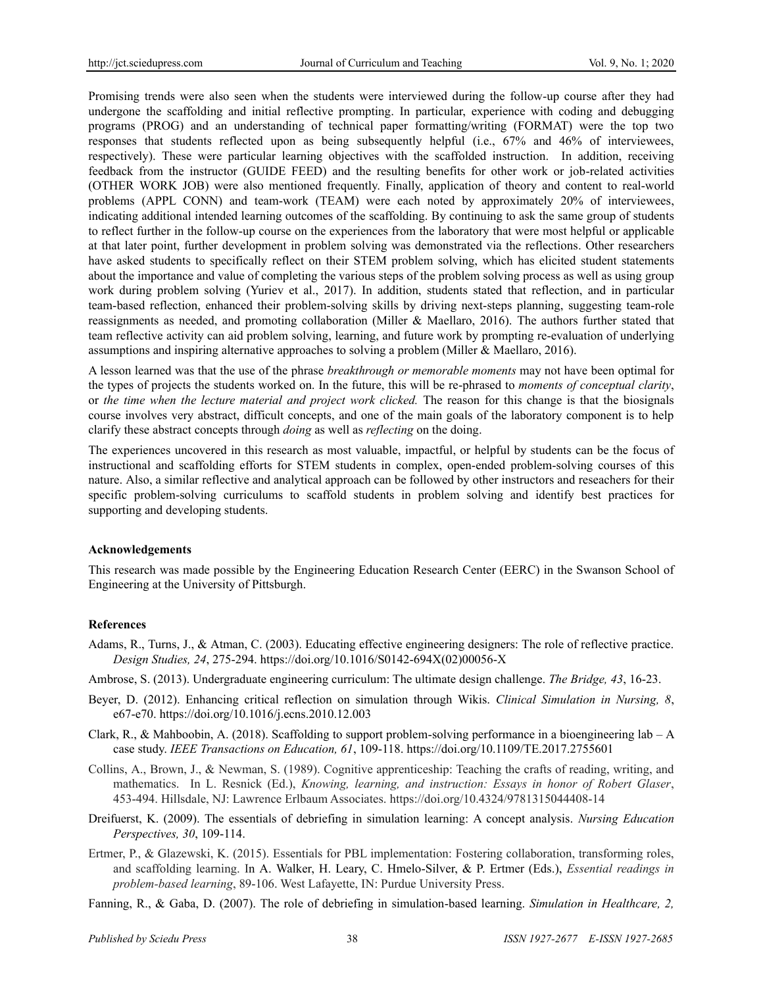Promising trends were also seen when the students were interviewed during the follow-up course after they had undergone the scaffolding and initial reflective prompting. In particular, experience with coding and debugging programs (PROG) and an understanding of technical paper formatting/writing (FORMAT) were the top two responses that students reflected upon as being subsequently helpful (i.e., 67% and 46% of interviewees, respectively). These were particular learning objectives with the scaffolded instruction. In addition, receiving feedback from the instructor (GUIDE FEED) and the resulting benefits for other work or job-related activities (OTHER WORK JOB) were also mentioned frequently. Finally, application of theory and content to real-world problems (APPL CONN) and team-work (TEAM) were each noted by approximately 20% of interviewees, indicating additional intended learning outcomes of the scaffolding. By continuing to ask the same group of students to reflect further in the follow-up course on the experiences from the laboratory that were most helpful or applicable at that later point, further development in problem solving was demonstrated via the reflections. Other researchers have asked students to specifically reflect on their STEM problem solving, which has elicited student statements about the importance and value of completing the various steps of the problem solving process as well as using group work during problem solving (Yuriev et al., 2017). In addition, students stated that reflection, and in particular team-based reflection, enhanced their problem-solving skills by driving next-steps planning, suggesting team-role reassignments as needed, and promoting collaboration (Miller & Maellaro, 2016). The authors further stated that team reflective activity can aid problem solving, learning, and future work by prompting re-evaluation of underlying assumptions and inspiring alternative approaches to solving a problem (Miller & Maellaro, 2016).

A lesson learned was that the use of the phrase *breakthrough or memorable moments* may not have been optimal for the types of projects the students worked on. In the future, this will be re-phrased to *moments of conceptual clarity*, or *the time when the lecture material and project work clicked.* The reason for this change is that the biosignals course involves very abstract, difficult concepts, and one of the main goals of the laboratory component is to help clarify these abstract concepts through *doing* as well as *reflecting* on the doing.

The experiences uncovered in this research as most valuable, impactful, or helpful by students can be the focus of instructional and scaffolding efforts for STEM students in complex, open-ended problem-solving courses of this nature. Also, a similar reflective and analytical approach can be followed by other instructors and reseachers for their specific problem-solving curriculums to scaffold students in problem solving and identify best practices for supporting and developing students.

#### **Acknowledgements**

This research was made possible by the Engineering Education Research Center (EERC) in the Swanson School of Engineering at the University of Pittsburgh.

#### **References**

- Adams, R., Turns, J., & Atman, C. (2003). Educating effective engineering designers: The role of reflective practice. *Design Studies, 24*, 275-294. https://doi.org/10.1016/S0142-694X(02)00056-X
- Ambrose, S. (2013). Undergraduate engineering curriculum: The ultimate design challenge. *The Bridge, 43*, 16-23.
- Beyer, D. (2012). Enhancing critical reflection on simulation through Wikis. *Clinical Simulation in Nursing, 8*, e67-e70. https://doi.org/10.1016/j.ecns.2010.12.003
- Clark, R., & Mahboobin, A. (2018). Scaffolding to support problem-solving performance in a bioengineering lab A case study. *IEEE Transactions on Education, 61*, 109-118. https://doi.org/10.1109/TE.2017.2755601
- Collins, A., Brown, J., & Newman, S. (1989). Cognitive apprenticeship: Teaching the crafts of reading, writing, and mathematics. In L. Resnick (Ed.), *Knowing, learning, and instruction: Essays in honor of Robert Glaser*, 453-494. Hillsdale, NJ: Lawrence Erlbaum Associates. https://doi.org/10.4324/9781315044408-14
- Dreifuerst, K. (2009). The essentials of debriefing in simulation learning: A concept analysis. *Nursing Education Perspectives, 30*, 109-114.
- Ertmer, P., & Glazewski, K. (2015). Essentials for PBL implementation: Fostering collaboration, transforming roles, and scaffolding learning. In A. Walker, H. Leary, C. Hmelo-Silver, & P. Ertmer (Eds.), *Essential readings in problem-based learning*, 89-106. West Lafayette, IN: Purdue University Press.
- Fanning, R., & Gaba, D. (2007). The role of debriefing in simulation-based learning. *Simulation in Healthcare, 2,*